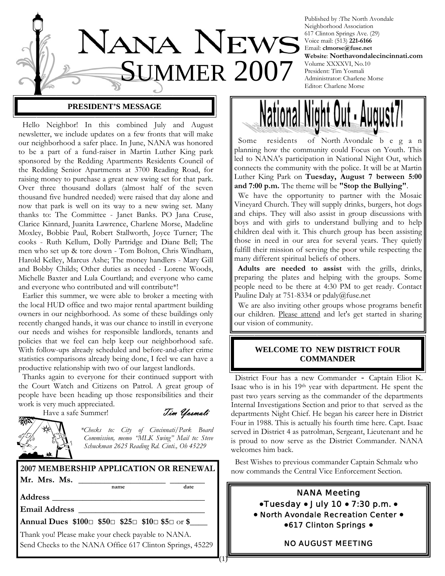

### **PRESIDENT'S MESSAGE**

 Hello Neighbor! In this combined July and August newsletter, we include updates on a few fronts that will make our neighborhood a safer place. In June, NANA was honored to be a part of a fund-raiser in Martin Luther King park sponsored by the Redding Apartments Residents Council of the Redding Senior Apartments at 3700 Reading Road, for raising money to purchase a great new swing set for that park. Over three thousand dollars (almost half of the seven thousand five hundred needed) were raised that day alone and now that park is well on its way to a new swing set. Many thanks to: The Committee - Janet Banks. PO Jana Cruse, Clarice Kinnard, Juanita Lawrence, Charlene Morse, Madeline Moxley, Bobbie Paul, Robert Stallworth, Joyce Turner; The cooks - Ruth Kellum, Dolly Partridge and Diane Bell; The men who set up & tore down - Tom Bolton, Chris Windham, Harold Kelley, Marcus Ashe; The money handlers - Mary Gill and Bobby Childs; Other duties as needed - Lorene Woods, Michelle Baxter and Lula Courtland; and everyone who came and everyone who contributed and will contribute\*!

 Earlier this summer, we were able to broker a meeting with the local HUD office and two major rental apartment building owners in our neighborhood. As some of these buildings only recently changed hands, it was our chance to instill in everyone our needs and wishes for responsible landlords, tenants and policies that we feel can help keep our neighborhood safe. With follow-ups already scheduled and before-and-after crime statistics comparisons already being done, I feel we can have a productive relationship with two of our largest landlords.

 Thanks again to everyone for their continued support with the Court Watch and Citizens on Patrol. A great group of people have been heading up those responsibilities and their work is very much appreciated.

Have a safe Summer! Tim Ussmali

 $(1)^{2}$ 

*\*Checks to: City of Cincinnati/Park Board Commission, memo "MLK Swing" Mail to: Steve Schuckman 2625 Reading Rd. Cinti., Oh 45229* 

**2007 MEMBERSHIP APPLICATION OR RENEWAL** 

**Mr. Mrs. Ms.** \_\_\_\_\_\_\_\_\_\_\_\_\_\_\_\_\_\_\_\_ \_\_\_\_\_\_\_\_ **name date**

**Address** \_\_\_\_\_\_\_\_\_\_\_\_\_\_\_\_\_\_\_\_\_\_\_\_\_\_\_\_\_\_\_\_\_\_\_

**Email Address** \_\_\_\_\_\_\_\_\_\_\_\_\_\_\_\_\_\_\_\_\_\_\_\_\_\_\_\_\_

**Annual Dues \$100**□ **\$50**□ **\$25**□ **\$10**□ **\$5**□ or **\$**\_\_\_\_

Thank you! Please make your check payable to NANA. Send Checks to the NANA Office 617 Clinton Springs, 45229

Published by :The North Avondale Neighborhood Association 617 Clinton Springs Ave. (29) Voice mail: (513) **221-6166** Email: **clmorse@fuse.net Website**: **Northavondalecincinnati.com** Volume XXXXVI, No.10 President: Tim Yosmali Administrator: Charlene Morse Editor: Charlene Morse



 Some residents of North Avondale b e g a n planning how the community could Focus on Youth. This led to NANA's participation in National Night Out, which connects the community with the police. It will be at Martin Luther King Park on **Tuesday, August 7 between 5:00 and 7:00 p.m.** The theme will be **"Stop the Bullying"**.

 We have the opportunity to partner with the Mosaic Vineyard Church. They will supply drinks, burgers, hot dogs and chips. They will also assist in group discussions with boys and with girls to understand bullying and to help children deal with it. This church group has been assisting those in need in our area for several years. They quietly fulfill their mission of serving the poor while respecting the many different spiritual beliefs of others.

 **Adults are needed to assist** with the grills, drinks, preparing the plates and helping with the groups. Some people need to be there at 4:30 PM to get ready. Contact Pauline Daly at 751-8334 or pdaly@fuse.net

 We are also inviting other groups whose programs benefit our children. Please attend and let's get started in sharing our vision of community.

## **WELCOME TO NEW DISTRICT FOUR COMMANDER**

 District Four has a new Commander - Captain Eliot K. Isaac who is in his 19th year with department. He spent the past two years serving as the commander of the departments Internal Investigations Section and prior to that served as the departments Night Chief. He began his career here in District Four in 1988. This is actually his fourth time here. Capt. Isaac served in District 4 as patrolman, Sergeant, Lieutenant and he is proud to now serve as the District Commander. NANA welcomes him back.

 Best Wishes to previous commander Captain Schmalz who now commands the Central Vice Enforcement Section.



#### NO AUGUST MEETING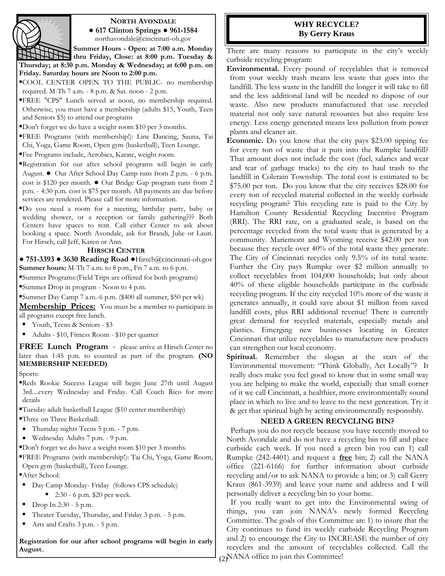

## **NORTH AVONDALE**

**● 617 Clinton Springs ● 961-1584** northavondale@cincinnati-oh.gov

**Summer Hours - Open: at 7:00 a.m. Monday thru Friday, Close: at 8:00 p.m. Tuesday & Thursday; at 8:30 p.m. Monday & Wednesday; at 6:00 p.m. on Friday. Saturday hours are Noon to 2:00 p.m.** 

▪COOL CENTER OPEN TO THE PUBLIC- no membership required. M-Th 7 a.m. - 8 p.m. & Sat. noon - 2 p.m.

- ▪FREE "CPS" Lunch served at noon, no membership required. Otherwise, you must have a membership (adults \$15, Youth, Teen and Seniors \$5) to attend our programs
- ▪Don't forget we do have a weight room \$10 per 3 months.
- ▪FREE Programs (with membership!): Line Dancing, Sauna, Tai Chi, Yoga, Game Room, Open gym (basketball), Teen Lounge.
- ▪Fee Programs include, Aerobics, Karate, weight room.
- ▪Registration for our after school programs will begin in early August. **●** Our After School Day Camp runs from 2 p.m. - 6 p.m. cost is \$120 per month. **●** Our Bridge Gap program runs from 2 p.m. - 4:30 p.m. cost is \$75 per month. All payments are due before services are rendered. Please call for more information.
- ▪Do you need a room for a meeting, birthday party, baby or wedding shower, or a reception or family gathering??? Both Centers have spaces to rent. Call either Center to ask about booking a space. North Avondale, ask for Brandi, Julie or Lauri. For Hirsch, call Jeff, Karen or Ann.

#### **HIRSCH CENTER**

**● 751-3393 ● 3630 Reading Road ●**Hirsch@cincinnati-oh.gov **Summer hours:** M-Th 7 a.m. to 8 p.m., Fri 7 a.m. to 6 p.m.

▪Summer Programs:(Field Trips are offered for both programs)

▪Summer Drop in program - Noon to 4 p.m.

▪Summer Day Camp 7 a.m.-6 p.m. (\$400 all summer, \$50 per wk)

**Membership Prices:** You must be a member to participate in all programs except free lunch.

- Youth, Teens & Seniors \$3
- Adults \$10, Fitness Room \$10 per quarter

**FREE Lunch Program** - please arrive at Hirsch Center no later than 1:45 p.m. to counted as part of the program. **(NO MEMBERSHIP NEEDED)**

Sports:

- Reds Rookie Success League will begin June 27th until August 3rd....every Wednesday and Friday. Call Coach Rico for more details
- ▪Tuesday adult basketball League (\$10 center membership)
- ▪Three on Three Basketball:
- Thursday nights Teens 5 p.m. 7 p.m.
- Wednesday Adults 7 p.m. 9 p.m.
- ▪Don't forget we do have a weight room \$10 per 3 months.
- ▪FREE Programs (with membership!): Tai Chi, Yoga, Game Room, Open gym (basketball), Teen Lounge.
- ▪After School:
- Day Camp Monday- Friday (follows CPS schedule)
	- 2:30 6 p.m. \$20 per week.
- $\blacksquare$  Drop In 2:30 5 p.m.
- Theater Tuesday, Thursday, and Friday 3 p.m. 5 p.m.
- Arts and Crafts 3 p.m. 5 p.m.

**Registration for our after school programs will begin in early August**..

## **WHY RECYCLE? By Gerry Kraus**

There are many reasons to participate in the city's weekly curbside recycling program:

**Environmental.** Every pound of recyclables that is removed from your weekly trash means less waste that goes into the landfill. The less waste in the landfill the longer it will take to fill and the less additional land will be needed to dispose of our waste. Also new products manufactured that use recycled material not only save natural resources but also require less energy. Less energy generated means less pollution from power plants and cleaner air.

**Economic.** Do you know that the city pays \$23.00 tipping fee for every ton of waste that it puts into the Rumpke landfill? That amount does not include the cost (fuel, salaries and wear and tear of garbage trucks) to the city to haul trash to the landfill in Colerain Township. The total cost is estimated to be \$75.00 per ton. Do you know that the city receives \$28.00 for every ton of recycled material collected in the weekly curbside recycling program? This recycling rate is paid to the City by Hamilton County Residential Recycling Incentive Program (RRI). The RRI rate, on a graduated scale, is based on the percentage recycled from the total waste that is generated by a community. Mariemont and Wyoming receive \$42.00 per ton because they recycle over 40% of the total waste they generate. The City of Cincinnati recycles only 9.5% of its total waste. Further the City pays Rumpke over \$2 million annually to collect recyclables from 104,000 households; but only about 40% of these eligible households participate in the curbside recycling program. If the city recycled 10% more of the waste it generates annually, it could save about \$1 million from saved landfill costs, plus RRI additional revenue! There is currently great demand for recycled materials, especially metals and plastics. Emerging new businesses locating in Greater Cincinnati that utilize recyclables to manufacture new products can strengthen our local economy.

**Spiritual.** Remember the slogan at the start of the Environmental movement: "Think Globally, Act Locally"? It really does make you feel good to know that in some small way you are helping to make the world, especially that small corner of it we call Cincinnati, a healthier, more environmentally sound place in which to live and to leave to the next generation. Try it & get that spiritual high by acting environmentally responsibly.

#### **NEED A GREEN RECYCLING BIN?**

 Perhaps you do not recycle because you have recently moved to North Avondale and do not have a recycling bin to fill and place curbside each week. If you need a green bin you can 1) call Rumpke (242-4401) and request a **free** bin; 2) call the NANA office (221-6166) for further information about curbside recycling and/or to ask NANA to provide a bin; or 3) call Gerry Kraus (861-3939) and leave your name and address and I will personally deliver a recycling bin to your home.

(2) NANA office to join this Committee! If you really want to get into the Environmental swing of things, you can join NANA's newly formed Recycling Committee. The goals of this Committee are 1) to insure that the City continues to fund its weekly curbside Recycling Program and 2) to encourage the City to INCREASE the number of city recyclers and the amount of recyclables collected. Call the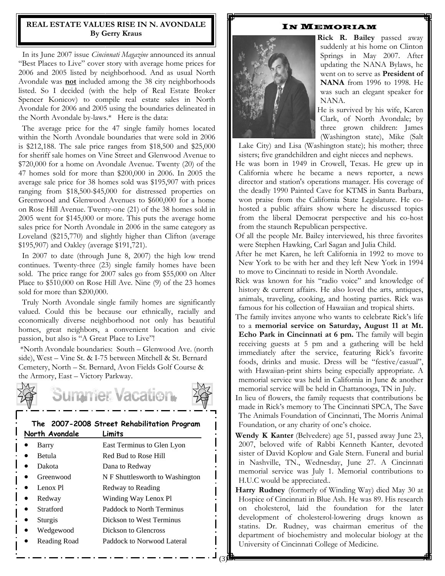## **REAL ESTATE VALUES RISE IN N. AVONDALE By Gerry Kraus**

In its June 2007 issue *Cincinnati Magazine* announced its annual "Best Places to Live" cover story with average home prices for 2006 and 2005 listed by neighborhood. And as usual North Avondale was **not** included among the 38 city neighborhoods listed. So I decided (with the help of Real Estate Broker Spencer Konicov) to compile real estate sales in North Avondale for 2006 and 2005 using the boundaries delineated in the North Avondale by-laws.\* Here is the data:

 The average price for the 47 single family homes located within the North Avondale boundaries that were sold in 2006 is \$212,188. The sale price ranges from \$18,500 and \$25,000 for sheriff sale homes on Vine Street and Glenwood Avenue to \$720,000 for a home on Avondale Avenue. Twenty (20) of the 47 homes sold for more than \$200,000 in 2006. In 2005 the average sale price for 38 homes sold was \$195,907 with prices ranging from \$18,500-\$45,000 for distressed properties on Greenwood and Glenwood Avenues to \$600,000 for a home on Rose Hill Avenue. Twenty-one (21) of the 38 homes sold in 2005 went for \$145,000 or more. This puts the average home sales price for North Avondale in 2006 in the same category as Loveland (\$215,770) and slightly higher than Clifton (average \$195,907) and Oakley (average \$191,721).

 In 2007 to date (through June 8, 2007) the high low trend continues. Twenty-three (23) single family homes have been sold. The price range for 2007 sales go from \$55,000 on Alter Place to \$510,000 on Rose Hill Ave. Nine (9) of the 23 homes sold for more than \$200,000.

 Truly North Avondale single family homes are significantly valued. Could this be because our ethnically, racially and economically diverse neighborhood not only has beautiful homes, great neighbors, a convenient location and civic passion, but also is "A Great Place to Live"!

\*North Avondale boundaries: South – Glenwood Ave. (north side), West – Vine St. & I-75 between Mitchell & St. Bernard Cemetery, North – St. Bernard, Avon Fields Golf Course & the Armory, East – Victory Parkway.

# ummer Vacation.



| North Avondale | Limits                          |  |  |
|----------------|---------------------------------|--|--|
| Barry          | East Terminus to Glen Lyon      |  |  |
| <b>Betula</b>  | Red Bud to Rose Hill            |  |  |
| Dakota         | Dana to Redway                  |  |  |
| Greenwood      | N F Shuttlesworth to Washington |  |  |
| Lenox Pl<br>D  | Redway to Reading               |  |  |
| Redway<br>D    | Winding Way Lenox Pl            |  |  |
| Stratford      | Paddock to North Terminus       |  |  |
| Sturgis        | Dickson to West Terminus        |  |  |
| Wedgewood      | Dickson to Glencross            |  |  |
| Reading Road   | Paddock to Norwood Lateral      |  |  |

#### IN MEMORIAM



 **Rick R. Bailey** passed away suddenly at his home on Clinton Springs in May 2007. After updating the NANA Bylaws, he went on to serve as **President of NANA** from 1996 to 1998. He was such an elegant speaker for NANA.

 He is survived by his wife, Karen Clark, of North Avondale; by three grown children: James (Washington state), Mike (Salt

Lake City) and Lisa (Washington state); his mother; three sisters; five grandchildren and eight nieces and nephews.

He was born in 1949 in Crowell, Texas. He grew up in California where he became a news reporter, a news director and station's operations manager. His coverage of the deadly 1990 Painted Cave for KTMS in Santa Barbara, won praise from the California State Legislature. He cohosted a public affairs show where he discussed topics from the liberal Democrat perspective and his co-host from the staunch Republican perspective.

Of all the people Mr. Bailey interviewed, his three favorites were Stephen Hawking, Carl Sagan and Julia Child.

After he met Karen, he left California in 1992 to move to New York to be with her and they left New York in 1994 to move to Cincinnati to reside in North Avondale.

Rick was known for his "radio voice" and knowledge of history & current affairs. He also loved the arts, antiques, animals, traveling, cooking, and hosting parties. Rick was famous for his collection of Hawaiian and tropical shirts.

The family invites anyone who wants to celebrate Rick's life to a **memorial service on Saturday, August 11 at Mt. Echo Park in Cincinnati at 6 pm.** The family will begin receiving guests at 5 pm and a gathering will be held immediately after the service, featuring Rick's favorite foods, drinks and music. Dress will be "festive/casual", with Hawaiian-print shirts being especially appropriate. A memorial service was held in California in June & another memorial service will be held in Chattanooga, TN in July.

In lieu of flowers, the family requests that contributions be made in Rick's memory to The Cincinnati SPCA, The Save The Animals Foundation of Cincinnati, The Morris Animal Foundation, or any charity of one's choice.

**Wendy K Kanter** (Belvedere) age 51, passed away June 23, 2007, beloved wife of Rabbi Kenneth Kanter, devoted sister of David Koplow and Gale Stern. Funeral and burial in Nashville, TN., Wednesday, June 27. A Cincinnati memorial service was July 1. Memorial contributions to H.U.C would be appreciated..

**Harry Rudney** (formerly of Winding Way) died May 30 at Hospice of Cincinnati in Blue Ash. He was 89. His research on cholesterol, laid the foundation for the later development of cholesterol-lowering drugs known as statins. Dr. Rudney, was chairman emeritus of the department of biochemistry and molecular biology at the University of Cincinnati College of Medicine.